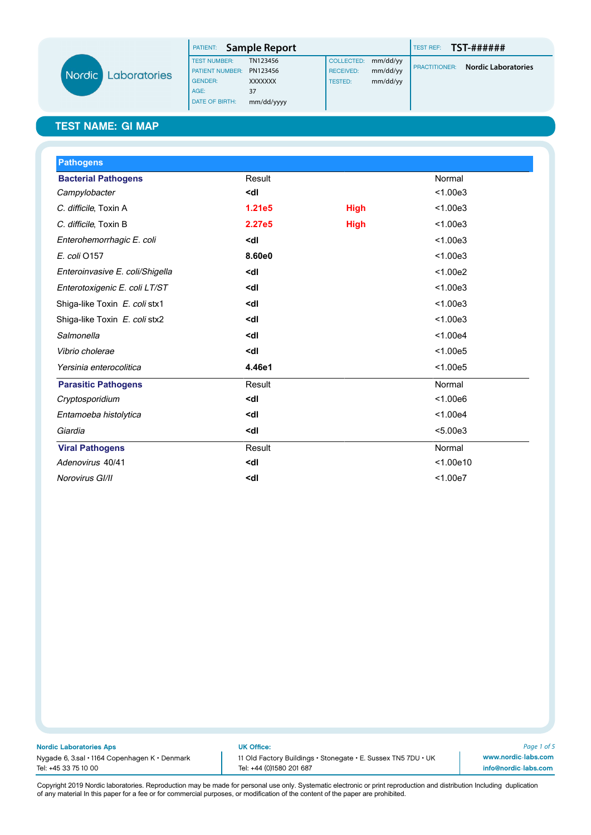|                     | <b>PATIENT:</b> Sample Report |                |                  |          | <b>TEST REF:</b>     | TST-######                 |
|---------------------|-------------------------------|----------------|------------------|----------|----------------------|----------------------------|
|                     | <b>TEST NUMBER:</b>           | TN123456       | COLLECTED:       | mm/dd/yy |                      |                            |
| Nordic Laboratories | <b>PATIENT NUMBER:</b>        | PN123456       | <b>RECEIVED:</b> | mm/dd/yy | <b>PRACTITIONER:</b> | <b>Nordic Laboratories</b> |
|                     | <b>GENDER:</b>                | <b>XXXXXXX</b> | <b>TESTED:</b>   | mm/dd/yy |                      |                            |
|                     | AGE:                          | 37             |                  |          |                      |                            |
|                     | <b>DATE OF BIRTH:</b>         | mm/dd/yyyy     |                  |          |                      |                            |

| <b>Pathogens</b>                |                                                 |             |           |
|---------------------------------|-------------------------------------------------|-------------|-----------|
| <b>Bacterial Pathogens</b>      | Result                                          |             | Normal    |
| Campylobacter                   | <dl< td=""><td></td><td>&lt; 1.00e3</td></dl<>  |             | < 1.00e3  |
| C. difficile, Toxin A           | 1.21e5                                          | <b>High</b> | < 1.00e3  |
| C. difficile, Toxin B           | 2.27e5                                          | <b>High</b> | < 1.00e3  |
| Enterohemorrhagic E. coli       | <dl< td=""><td></td><td>&lt; 1.00e3</td></dl<>  |             | < 1.00e3  |
| E. coli 0157                    | 8.60e0                                          |             | < 1.00e3  |
| Enteroinvasive E. coli/Shigella | <dl< td=""><td></td><td>&lt; 1.00e2</td></dl<>  |             | < 1.00e2  |
| Enterotoxigenic E. coli LT/ST   | <dl< td=""><td></td><td>&lt; 1.00e3</td></dl<>  |             | < 1.00e3  |
| Shiga-like Toxin E. coli stx1   | <dl< td=""><td></td><td>&lt; 1.00e3</td></dl<>  |             | < 1.00e3  |
| Shiga-like Toxin E. coli stx2   | <dl< td=""><td></td><td>&lt; 1.00e3</td></dl<>  |             | < 1.00e3  |
| Salmonella                      | <dl< td=""><td></td><td>&lt; 1.00e4</td></dl<>  |             | < 1.00e4  |
| Vibrio cholerae                 | <dl< td=""><td></td><td>&lt; 1.00e5</td></dl<>  |             | < 1.00e5  |
| Yersinia enterocolitica         | 4.46e1                                          |             | < 1.00e5  |
| <b>Parasitic Pathogens</b>      | Result                                          |             | Normal    |
| Cryptosporidium                 | <dl< td=""><td></td><td>&lt; 1.00e6</td></dl<>  |             | < 1.00e6  |
| Entamoeba histolytica           | <dl< td=""><td></td><td>&lt; 1.00e4</td></dl<>  |             | < 1.00e4  |
| Giardia                         | <dl< td=""><td></td><td>&lt; 5.00e3</td></dl<>  |             | < 5.00e3  |
| <b>Viral Pathogens</b>          | Result                                          |             | Normal    |
| Adenovirus 40/41                | <dl< td=""><td></td><td>&lt; 1.00e10</td></dl<> |             | < 1.00e10 |
| Norovirus GI/II                 | <dl< td=""><td></td><td>&lt; 1.00e7</td></dl<>  |             | < 1.00e7  |

Nordic Laboratories Aps UK Office:

Tel: +45 33 75 10 00 Tel: +44 (0)1580 201 687

Nygade 6, 3.sal • 1164 Copenhagen K • Denmark 11 Old Factory Buildings • Stonegate • E. Sussex TN5 7DU • UK

*Page 1 of 5* www.nordic-labs.com info@nordic-labs.com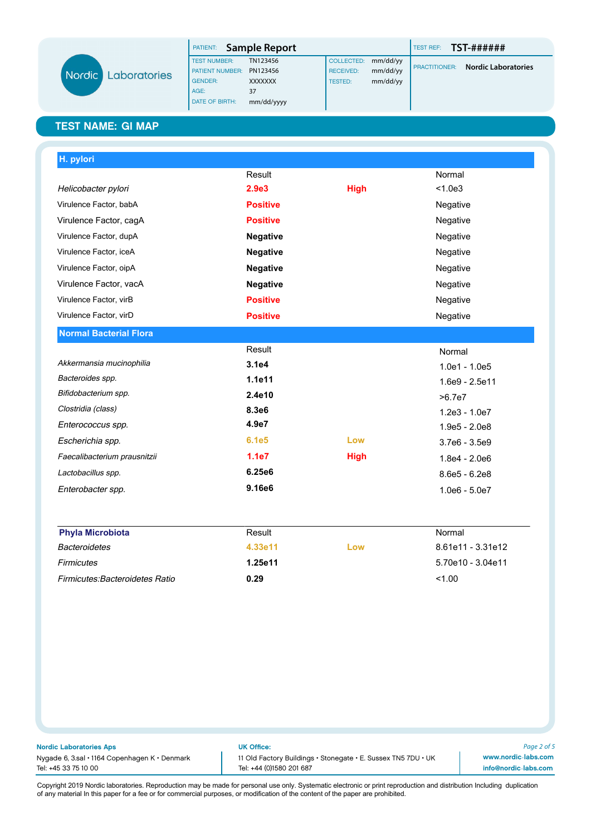|                     | PATIENT:               | Sample Report  |                  |          | TEST REF:            | TST-######                 |
|---------------------|------------------------|----------------|------------------|----------|----------------------|----------------------------|
|                     | <b>TEST NUMBER:</b>    | TN123456       | COLLECTED:       | mm/dd/yy |                      |                            |
| <b>Laboratories</b> | <b>PATIENT NUMBER:</b> | PN123456       | <b>RECEIVED:</b> | mm/dd/yy | <b>PRACTITIONER:</b> | <b>Nordic Laboratories</b> |
|                     | <b>GENDER:</b>         | <b>XXXXXXX</b> | TESTED:          | mm/dd/yy |                      |                            |
|                     | AGE:                   | 37             |                  |          |                      |                            |
|                     | <b>DATE OF BIRTH:</b>  | mm/dd/yyyy     |                  |          |                      |                            |

Nord

| H. pylori                     |                    |             |                  |
|-------------------------------|--------------------|-------------|------------------|
|                               | Result             |             | Normal           |
| Helicobacter pylori           | 2.9 <sub>e</sub> 3 | <b>High</b> | < 1.0e3          |
| Virulence Factor, babA        | <b>Positive</b>    |             | Negative         |
| Virulence Factor, cagA        | <b>Positive</b>    |             | Negative         |
| Virulence Factor, dupA        | <b>Negative</b>    |             | Negative         |
| Virulence Factor, iceA        | <b>Negative</b>    |             | Negative         |
| Virulence Factor, oipA        | <b>Negative</b>    |             | Negative         |
| Virulence Factor, vacA        | <b>Negative</b>    |             | Negative         |
| Virulence Factor, virB        | <b>Positive</b>    |             | Negative         |
| Virulence Factor, virD        | <b>Positive</b>    |             | Negative         |
| <b>Normal Bacterial Flora</b> |                    |             |                  |
|                               | Result             |             | Normal           |
| Akkermansia mucinophilia      | 3.1e4              |             | $1.0e1 - 1.0e5$  |
| Bacteroides spp.              | 1.1e11             |             | $1.6e9 - 2.5e11$ |
| Bifidobacterium spp.          | 2.4e10             |             | >6.7e7           |
| Clostridia (class)            | 8.3e6              |             | $1.2e3 - 1.0e7$  |
| Enterococcus spp.             | 4.9e7              |             | $1.9e5 - 2.0e8$  |
| Escherichia spp.              | 6.1e5              | Low         | $3.7e6 - 3.5e9$  |
| Faecalibacterium prausnitzii  | 1.1e7              | <b>High</b> | $1.8e4 - 2.0e6$  |
|                               |                    |             |                  |
| Lactobacillus spp.            | 6.25e6             |             | $8.6e5 - 6.2e8$  |

| <b>Phyla Microbiota</b>               | Result  |     | Normal            |
|---------------------------------------|---------|-----|-------------------|
| Bacteroidetes                         | 4.33e11 | Low | 8.61e11 - 3.31e12 |
| <b>Firmicutes</b>                     | 1.25e11 |     | 5.70e10 - 3.04e11 |
| <b>Firmicutes:Bacteroidetes Ratio</b> | 0.29    |     | < 1.00            |

|  |  | Nordic Laboratories Aps |  |  |
|--|--|-------------------------|--|--|
|  |  |                         |  |  |

UK Office:

Tel: +45 33 75 10 00 Tel: +44 (0)1580 201 687

Nygade 6, 3.sal • 1164 Copenhagen K • Denmark 11 Old Factory Buildings • Stonegate • E. Sussex TN5 7DU • UK

*Page 2 of 5* www.nordic-labs.com info@nordic-labs.com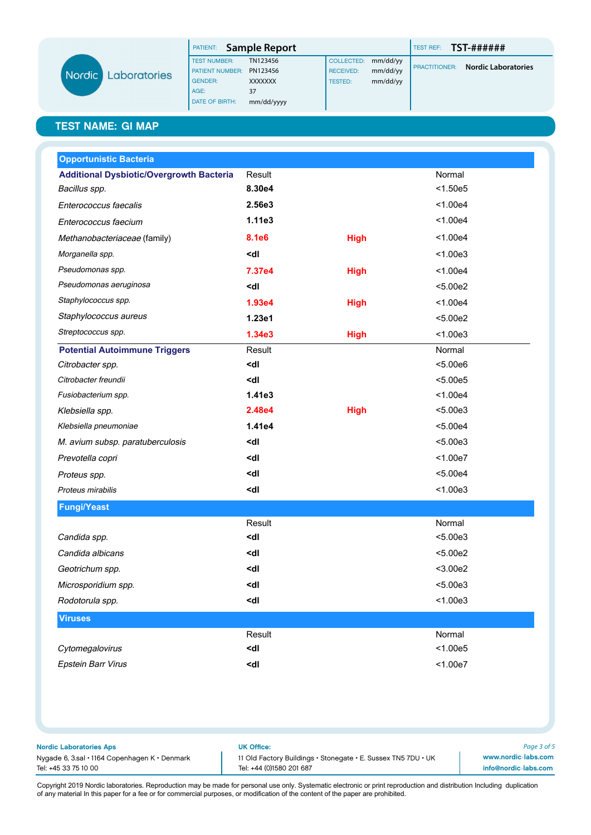|        |              | PATIENT:               | Sample Report  |                  |          | TEST REF:            | TST-######                 |
|--------|--------------|------------------------|----------------|------------------|----------|----------------------|----------------------------|
|        |              | <b>TEST NUMBER:</b>    | TN123456       | COLLECTED:       | mm/dd/yy |                      |                            |
| Nordic | Laboratories | <b>PATIENT NUMBER:</b> | PN123456       | <b>RECEIVED:</b> | mm/dd/yy | <b>PRACTITIONER:</b> | <b>Nordic Laboratories</b> |
|        |              | <b>GENDER:</b>         | <b>XXXXXXX</b> | TESTED:          | mm/dd/yy |                      |                            |
|        |              | AGE:                   | 37             |                  |          |                      |                            |
|        |              | <b>DATE OF BIRTH:</b>  | mm/dd/yyyy     |                  |          |                      |                            |

| <b>Opportunistic Bacteria</b>                   |                                                            |             |            |
|-------------------------------------------------|------------------------------------------------------------|-------------|------------|
| <b>Additional Dysbiotic/Overgrowth Bacteria</b> | Result                                                     |             | Normal     |
| Bacillus spp.                                   | 8.30e4                                                     |             | < 1.50e5   |
| Enterococcus faecalis                           | 2.56e3                                                     |             | < 1.00e4   |
| Enterococcus faecium                            | 1.11e3                                                     |             | < 1.00e4   |
| Methanobacteriaceae (family)                    | <b>8.1e6</b>                                               | <b>High</b> | < 1.00e4   |
| Morganella spp.                                 | <dl< td=""><td></td><td>&lt; 1.00e3</td></dl<>             |             | < 1.00e3   |
| Pseudomonas spp.                                | 7.37e4                                                     | <b>High</b> | < 1.00e4   |
| Pseudomonas aeruginosa                          | <dl< td=""><td></td><td>&lt; 5.00e2</td></dl<>             |             | < 5.00e2   |
| Staphylococcus spp.                             | 1.93e4                                                     | <b>High</b> | < 1.00e4   |
| Staphylococcus aureus                           | 1.23e1                                                     |             | < 5.00e2   |
| Streptococcus spp.                              | 1.34e3                                                     | <b>High</b> | < 1.00e3   |
| <b>Potential Autoimmune Triggers</b>            | Result                                                     |             | Normal     |
| Citrobacter spp.                                | <dl< td=""><td></td><td>&lt; 5.00e6</td></dl<>             |             | < 5.00e6   |
| Citrobacter freundii                            | <dl< td=""><td></td><td>&lt; 5.00e5</td></dl<>             |             | < 5.00e5   |
| Fusiobacterium spp.                             | 1.41e3                                                     |             | < 1.00e4   |
| Klebsiella spp.                                 | 2.48e4                                                     | <b>High</b> | < 5.00e3   |
| Klebsiella pneumoniae                           | 1.41e4                                                     |             | < 5.00e4   |
| M. avium subsp. paratuberculosis                | <dl< td=""><td></td><td>&lt; 5.00e3</td></dl<>             |             | < 5.00e3   |
| Prevotella copri                                | <dl< td=""><td></td><td>&lt; 1.00e7</td></dl<>             |             | < 1.00e7   |
| Proteus spp.                                    | <dl< td=""><td></td><td>&lt; 5.00e4</td></dl<>             |             | < 5.00e4   |
| Proteus mirabilis                               | <dl< td=""><td></td><td>&lt; 1.00e3</td></dl<>             |             | < 1.00e3   |
| <b>Fungi/Yeast</b>                              |                                                            |             |            |
|                                                 | Result                                                     |             | Normal     |
| Candida spp.                                    | <dl< td=""><td></td><td>&lt; 5.00e3</td></dl<>             |             | < 5.00e3   |
| Candida albicans                                | <dl< td=""><td></td><td>&lt; 5.00e2</td></dl<>             |             | < 5.00e2   |
| Geotrichum spp.                                 | <dl< td=""><td></td><td><math>&lt;</math>3.00e2</td></dl<> |             | $<$ 3.00e2 |
| Microsporidium spp.                             | <dl< td=""><td></td><td>&lt; 5.00e3</td></dl<>             |             | < 5.00e3   |
| Rodotorula spp.                                 | <dl< td=""><td></td><td>&lt; 1.00e3</td></dl<>             |             | < 1.00e3   |
| <b>Viruses</b>                                  |                                                            |             |            |
|                                                 | Result                                                     |             | Normal     |
| Cytomegalovirus                                 | <dl< td=""><td></td><td>&lt; 1.00e5</td></dl<>             |             | < 1.00e5   |
| <b>Epstein Barr Virus</b>                       | <dl< td=""><td></td><td>&lt; 1.00e7</td></dl<>             |             | < 1.00e7   |
|                                                 |                                                            |             |            |
|                                                 |                                                            |             |            |

Nordic Laboratories Aps UK Office:

Nygade 6, 3.sal • 1164 Copenhagen K • Denmark 11 Old Factory Buildings • Stonegate • E. Sussex TN5 7DU • UK Tel: +45 33 75 10 00 Tel: +44 (0)1580 201 687

*Page 3 of 5* www.nordic-labs.com info@nordic-labs.com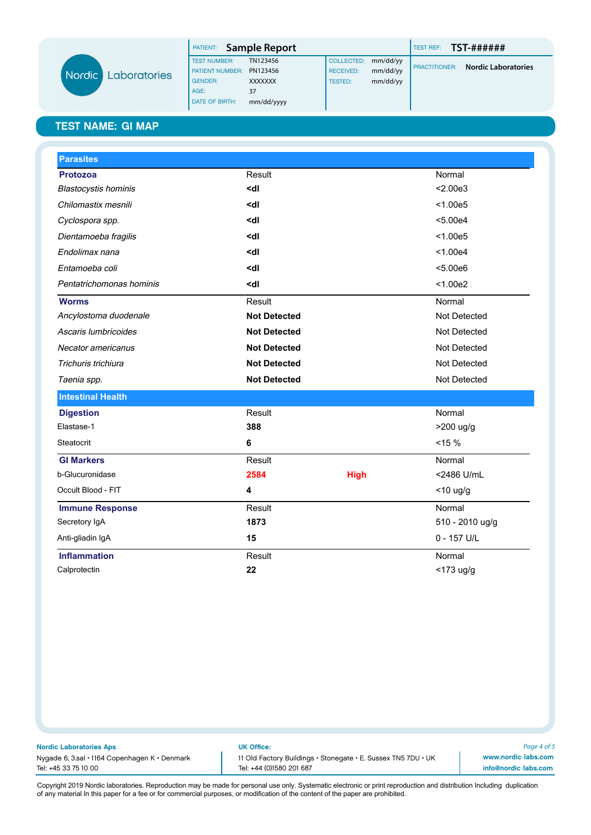|              | <b>PATIENT:</b> Sample Report |                |                  |          | TEST REF:            | TST-######                 |
|--------------|-------------------------------|----------------|------------------|----------|----------------------|----------------------------|
|              | <b>TEST NUMBER:</b>           | TN123456       | COLLECTED:       | mm/dd/yy |                      |                            |
| Laboratories | <b>PATIENT NUMBER:</b>        | PN123456       | <b>RECEIVED:</b> | mm/dd/yy | <b>PRACTITIONER:</b> | <b>Nordic Laboratories</b> |
|              | <b>GENDER:</b>                | <b>XXXXXXX</b> | <b>TESTED:</b>   | mm/dd/yy |                      |                            |
|              | AGE:                          | 37             |                  |          |                      |                            |
|              | DATE OF BIRTH:                | mm/dd/yyyy     |                  |          |                      |                            |

Nordi

| <b>Parasites</b>            |                                                |             |                 |
|-----------------------------|------------------------------------------------|-------------|-----------------|
| <b>Protozoa</b>             | Result                                         |             | Normal          |
| <b>Blastocystis hominis</b> | <dl< td=""><td></td><td>&lt; 2.00e3</td></dl<> |             | < 2.00e3        |
| Chilomastix mesnili         | <dl< td=""><td></td><td>&lt; 1.00e5</td></dl<> |             | < 1.00e5        |
| Cyclospora spp.             | <dl< td=""><td></td><td>&lt; 5.00e4</td></dl<> |             | < 5.00e4        |
| Dientamoeba fragilis        | <dl< td=""><td></td><td>&lt; 1.00e5</td></dl<> |             | < 1.00e5        |
| Endolimax nana              | <dl< td=""><td></td><td>&lt; 1.00e4</td></dl<> |             | < 1.00e4        |
| Entamoeba coli              | <dl< td=""><td></td><td>&lt; 5.00e6</td></dl<> |             | < 5.00e6        |
| Pentatrichomonas hominis    | <dl< td=""><td></td><td>&lt; 1.00e2</td></dl<> |             | < 1.00e2        |
| <b>Worms</b>                | Result                                         |             | Normal          |
| Ancylostoma duodenale       | <b>Not Detected</b>                            |             | Not Detected    |
| Ascaris lumbricoides        | <b>Not Detected</b>                            |             | Not Detected    |
| Necator americanus          | <b>Not Detected</b>                            |             | Not Detected    |
| Trichuris trichiura         | <b>Not Detected</b>                            |             | Not Detected    |
| Taenia spp.                 | <b>Not Detected</b>                            |             | Not Detected    |
| <b>Intestinal Health</b>    |                                                |             |                 |
| <b>Digestion</b>            | Result                                         |             | Normal          |
| Elastase-1                  | 388                                            |             | >200 ug/g       |
| Steatocrit                  | 6                                              |             | $< 15 \%$       |
| <b>GI Markers</b>           | Result                                         |             | Normal          |
| b-Glucuronidase             | 2584                                           | <b>High</b> | <2486 U/mL      |
| Occult Blood - FIT          | 4                                              |             | $<$ 10 ug/g     |
| <b>Immune Response</b>      | Result                                         |             | Normal          |
| Secretory IgA               | 1873                                           |             | 510 - 2010 ug/g |
| Anti-gliadin IgA            | 15                                             |             | $0 - 157$ U/L   |
| <b>Inflammation</b>         | Result                                         |             | Normal          |
| Calprotectin                | 22                                             |             | <173 ug/g       |

#### Nordic Laboratories Aps UK Office:

Tel: +45 33 75 10 00 Tel: +44 (0)1580 201 687

Nygade 6, 3.sal • 1164 Copenhagen K • Denmark 11 Old Factory Buildings • Stonegate • E. Sussex TN5 7DU • UK

*Page 4 of 5* www.nordic-labs.com info@nordic-labs.com